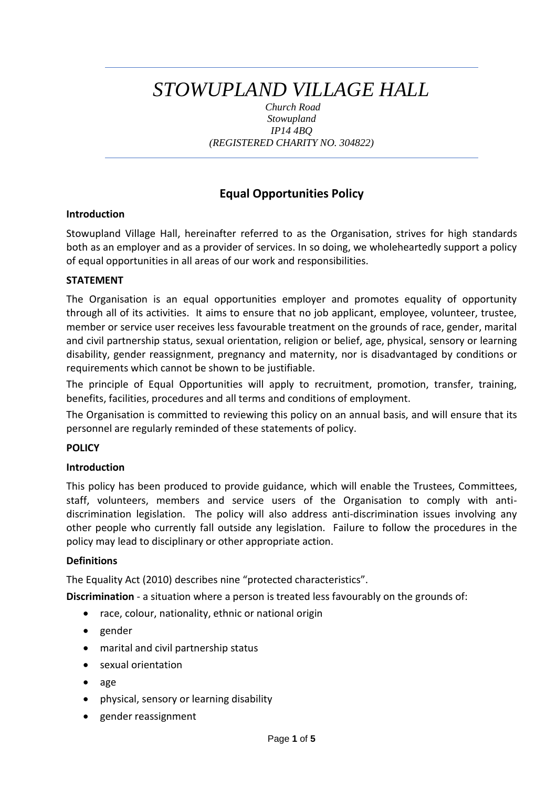# *STOWUPLAND VILLAGE HALL*

*Church Road Stowupland IP14 4BQ (REGISTERED CHARITY NO. 304822)*

# **Equal Opportunities Policy**

#### **Introduction**

Stowupland Village Hall, hereinafter referred to as the Organisation, strives for high standards both as an employer and as a provider of services. In so doing, we wholeheartedly support a policy of equal opportunities in all areas of our work and responsibilities.

### **STATEMENT**

The Organisation is an equal opportunities employer and promotes equality of opportunity through all of its activities. It aims to ensure that no job applicant, employee, volunteer, trustee, member or service user receives less favourable treatment on the grounds of race, gender, marital and civil partnership status, sexual orientation, religion or belief, age, physical, sensory or learning disability, gender reassignment, pregnancy and maternity, nor is disadvantaged by conditions or requirements which cannot be shown to be justifiable.

The principle of Equal Opportunities will apply to recruitment, promotion, transfer, training, benefits, facilities, procedures and all terms and conditions of employment.

The Organisation is committed to reviewing this policy on an annual basis, and will ensure that its personnel are regularly reminded of these statements of policy.

#### **POLICY**

#### **Introduction**

This policy has been produced to provide guidance, which will enable the Trustees, Committees, staff, volunteers, members and service users of the Organisation to comply with antidiscrimination legislation. The policy will also address anti-discrimination issues involving any other people who currently fall outside any legislation. Failure to follow the procedures in the policy may lead to disciplinary or other appropriate action.

#### **Definitions**

The Equality Act (2010) describes nine "protected characteristics".

**Discrimination** - a situation where a person is treated less favourably on the grounds of:

- race, colour, nationality, ethnic or national origin
- gender
- marital and civil partnership status
- sexual orientation
- age
- physical, sensory or learning disability
- gender reassignment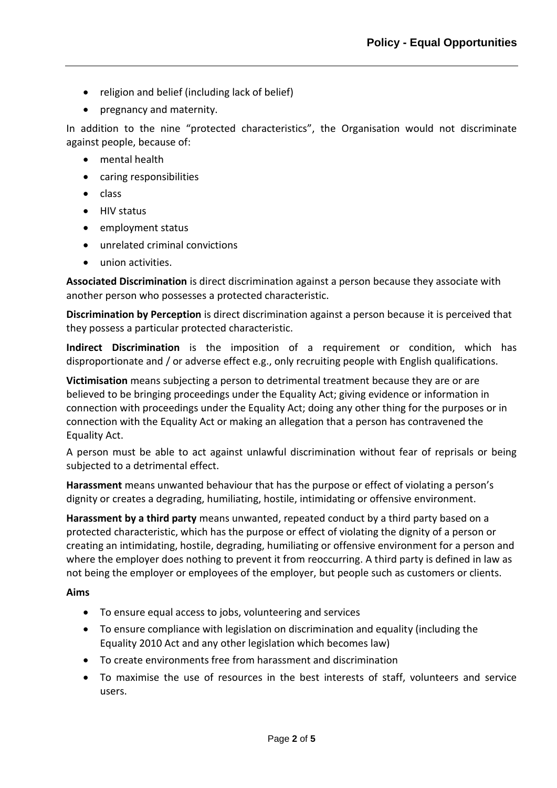- religion and belief (including lack of belief)
- pregnancy and maternity.

In addition to the nine "protected characteristics", the Organisation would not discriminate against people, because of:

- mental health
- caring responsibilities
- class
- HIV status
- employment status
- unrelated criminal convictions
- union activities.

**Associated Discrimination** is direct discrimination against a person because they associate with another person who possesses a protected characteristic.

**Discrimination by Perception** is direct discrimination against a person because it is perceived that they possess a particular protected characteristic.

**Indirect Discrimination** is the imposition of a requirement or condition, which has disproportionate and / or adverse effect e.g., only recruiting people with English qualifications.

**Victimisation** means subjecting a person to detrimental treatment because they are or are believed to be bringing proceedings under the Equality Act; giving evidence or information in connection with proceedings under the Equality Act; doing any other thing for the purposes or in connection with the Equality Act or making an allegation that a person has contravened the Equality Act.

A person must be able to act against unlawful discrimination without fear of reprisals or being subjected to a detrimental effect.

**Harassment** means unwanted behaviour that has the purpose or effect of violating a person's dignity or creates a degrading, humiliating, hostile, intimidating or offensive environment.

**Harassment by a third party** means unwanted, repeated conduct by a third party based on a protected characteristic, which has the purpose or effect of violating the dignity of a person or creating an intimidating, hostile, degrading, humiliating or offensive environment for a person and where the employer does nothing to prevent it from reoccurring. A third party is defined in law as not being the employer or employees of the employer, but people such as customers or clients.

#### **Aims**

- To ensure equal access to jobs, volunteering and services
- To ensure compliance with legislation on discrimination and equality (including the Equality 2010 Act and any other legislation which becomes law)
- To create environments free from harassment and discrimination
- To maximise the use of resources in the best interests of staff, volunteers and service users.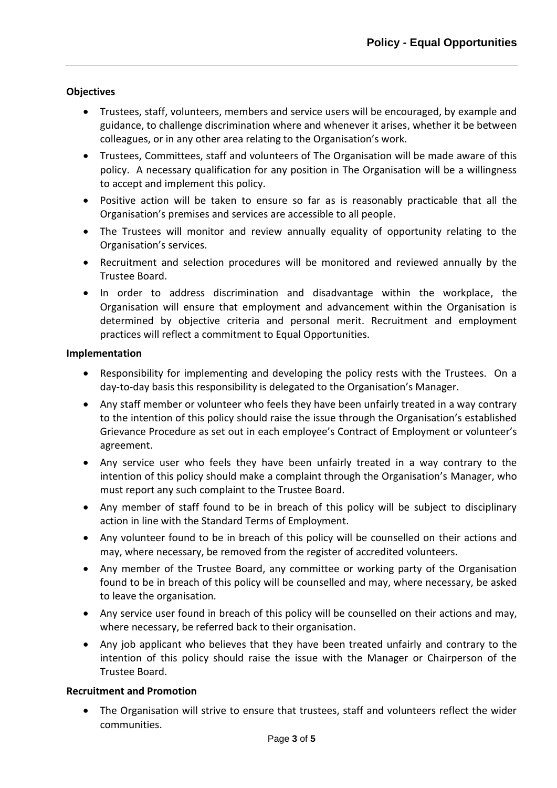## **Objectives**

- Trustees, staff, volunteers, members and service users will be encouraged, by example and guidance, to challenge discrimination where and whenever it arises, whether it be between colleagues, or in any other area relating to the Organisation's work.
- Trustees, Committees, staff and volunteers of The Organisation will be made aware of this policy. A necessary qualification for any position in The Organisation will be a willingness to accept and implement this policy.
- Positive action will be taken to ensure so far as is reasonably practicable that all the Organisation's premises and services are accessible to all people.
- The Trustees will monitor and review annually equality of opportunity relating to the Organisation's services.
- Recruitment and selection procedures will be monitored and reviewed annually by the Trustee Board.
- In order to address discrimination and disadvantage within the workplace, the Organisation will ensure that employment and advancement within the Organisation is determined by objective criteria and personal merit. Recruitment and employment practices will reflect a commitment to Equal Opportunities.

#### **Implementation**

- Responsibility for implementing and developing the policy rests with the Trustees. On a day-to-day basis this responsibility is delegated to the Organisation's Manager.
- Any staff member or volunteer who feels they have been unfairly treated in a way contrary to the intention of this policy should raise the issue through the Organisation's established Grievance Procedure as set out in each employee's Contract of Employment or volunteer's agreement.
- Any service user who feels they have been unfairly treated in a way contrary to the intention of this policy should make a complaint through the Organisation's Manager, who must report any such complaint to the Trustee Board.
- Any member of staff found to be in breach of this policy will be subject to disciplinary action in line with the Standard Terms of Employment.
- Any volunteer found to be in breach of this policy will be counselled on their actions and may, where necessary, be removed from the register of accredited volunteers.
- Any member of the Trustee Board, any committee or working party of the Organisation found to be in breach of this policy will be counselled and may, where necessary, be asked to leave the organisation.
- Any service user found in breach of this policy will be counselled on their actions and may, where necessary, be referred back to their organisation.
- Any job applicant who believes that they have been treated unfairly and contrary to the intention of this policy should raise the issue with the Manager or Chairperson of the Trustee Board.

#### **Recruitment and Promotion**

• The Organisation will strive to ensure that trustees, staff and volunteers reflect the wider communities.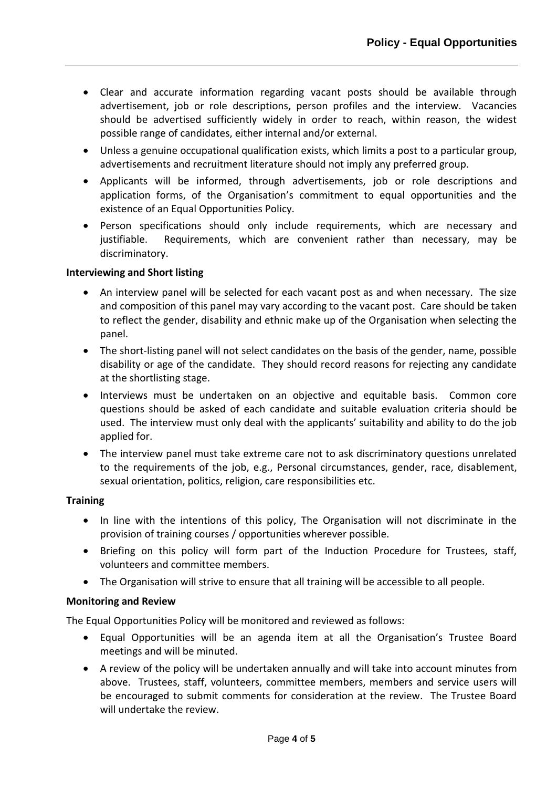- Clear and accurate information regarding vacant posts should be available through advertisement, job or role descriptions, person profiles and the interview. Vacancies should be advertised sufficiently widely in order to reach, within reason, the widest possible range of candidates, either internal and/or external.
- Unless a genuine occupational qualification exists, which limits a post to a particular group, advertisements and recruitment literature should not imply any preferred group.
- Applicants will be informed, through advertisements, job or role descriptions and application forms, of the Organisation's commitment to equal opportunities and the existence of an Equal Opportunities Policy.
- Person specifications should only include requirements, which are necessary and justifiable. Requirements, which are convenient rather than necessary, may be discriminatory.

#### **Interviewing and Short listing**

- An interview panel will be selected for each vacant post as and when necessary. The size and composition of this panel may vary according to the vacant post. Care should be taken to reflect the gender, disability and ethnic make up of the Organisation when selecting the panel.
- The short-listing panel will not select candidates on the basis of the gender, name, possible disability or age of the candidate. They should record reasons for rejecting any candidate at the shortlisting stage.
- Interviews must be undertaken on an objective and equitable basis. Common core questions should be asked of each candidate and suitable evaluation criteria should be used. The interview must only deal with the applicants' suitability and ability to do the job applied for.
- The interview panel must take extreme care not to ask discriminatory questions unrelated to the requirements of the job, e.g., Personal circumstances, gender, race, disablement, sexual orientation, politics, religion, care responsibilities etc.

#### **Training**

- In line with the intentions of this policy, The Organisation will not discriminate in the provision of training courses / opportunities wherever possible.
- Briefing on this policy will form part of the Induction Procedure for Trustees, staff, volunteers and committee members.
- The Organisation will strive to ensure that all training will be accessible to all people.

#### **Monitoring and Review**

The Equal Opportunities Policy will be monitored and reviewed as follows:

- Equal Opportunities will be an agenda item at all the Organisation's Trustee Board meetings and will be minuted.
- A review of the policy will be undertaken annually and will take into account minutes from above. Trustees, staff, volunteers, committee members, members and service users will be encouraged to submit comments for consideration at the review. The Trustee Board will undertake the review.